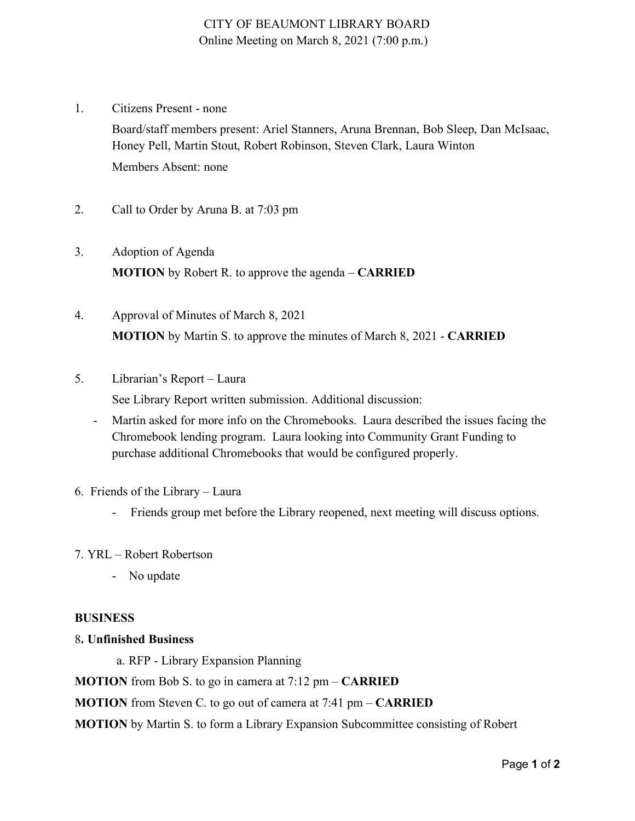# CITY OF BEAUMONT LIBRARY BOARD Online Meeting on March 8, 2021 (7:00 p.m.)

1. Citizens Present - none

Board/staff members present: Ariel Stanners, Aruna Brennan, Bob Sleep, Dan McIsaac, Honey Pell, Martin Stout, Robert Robinson, Steven Clark, Laura Winton Members Absent: none

- 2. Call to Order by Aruna B. at 7:03 pm
- 3. Adoption of Agenda **MOTION** by Robert R. to approve the agenda – **CARRIED**
- 4. Approval of Minutes of March 8, 2021 **MOTION** by Martin S. to approve the minutes of March 8, 2021 - **CARRIED**
- 5. Librarian's Report Laura

See Library Report written submission. Additional discussion:

- Martin asked for more info on the Chromebooks. Laura described the issues facing the Chromebook lending program. Laura looking into Community Grant Funding to purchase additional Chromebooks that would be configured properly.
- 6. Friends of the Library Laura
	- Friends group met before the Library reopened, next meeting will discuss options.
- 7. YRL Robert Robertson
	- No update

#### **BUSINESS**

### 8**. Unfinished Business**

a. RFP - Library Expansion Planning

**MOTION** from Bob S. to go in camera at 7:12 pm – **CARRIED**

**MOTION** from Steven C. to go out of camera at 7:41 pm – **CARRIED**

**MOTION** by Martin S. to form a Library Expansion Subcommittee consisting of Robert